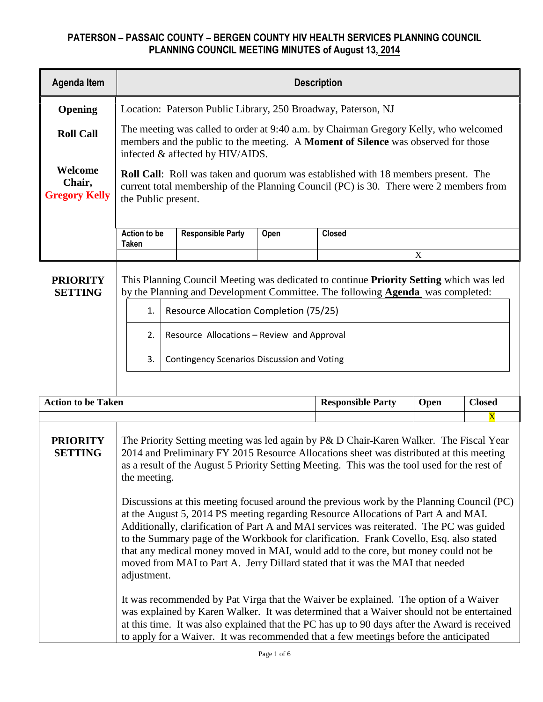| <b>Agenda Item</b>                        | <b>Description</b>                                                                                                                                                                                                                                                                                                                                                                                                                                                                                                                                           |                                                    |      |                                                                                                                                                                                        |      |                       |  |  |  |
|-------------------------------------------|--------------------------------------------------------------------------------------------------------------------------------------------------------------------------------------------------------------------------------------------------------------------------------------------------------------------------------------------------------------------------------------------------------------------------------------------------------------------------------------------------------------------------------------------------------------|----------------------------------------------------|------|----------------------------------------------------------------------------------------------------------------------------------------------------------------------------------------|------|-----------------------|--|--|--|
| Opening                                   | Location: Paterson Public Library, 250 Broadway, Paterson, NJ                                                                                                                                                                                                                                                                                                                                                                                                                                                                                                |                                                    |      |                                                                                                                                                                                        |      |                       |  |  |  |
| <b>Roll Call</b>                          | The meeting was called to order at 9:40 a.m. by Chairman Gregory Kelly, who welcomed<br>members and the public to the meeting. A <b>Moment of Silence</b> was observed for those<br>infected & affected by HIV/AIDS.                                                                                                                                                                                                                                                                                                                                         |                                                    |      |                                                                                                                                                                                        |      |                       |  |  |  |
| Welcome<br>Chair,<br><b>Gregory Kelly</b> | <b>Roll Call:</b> Roll was taken and quorum was established with 18 members present. The<br>current total membership of the Planning Council (PC) is 30. There were 2 members from<br>the Public present.                                                                                                                                                                                                                                                                                                                                                    |                                                    |      |                                                                                                                                                                                        |      |                       |  |  |  |
|                                           | Action to be<br><b>Taken</b>                                                                                                                                                                                                                                                                                                                                                                                                                                                                                                                                 | <b>Responsible Party</b>                           | Open | <b>Closed</b>                                                                                                                                                                          |      |                       |  |  |  |
|                                           |                                                                                                                                                                                                                                                                                                                                                                                                                                                                                                                                                              |                                                    |      |                                                                                                                                                                                        | X    |                       |  |  |  |
| <b>PRIORITY</b><br><b>SETTING</b>         |                                                                                                                                                                                                                                                                                                                                                                                                                                                                                                                                                              |                                                    |      | This Planning Council Meeting was dedicated to continue <b>Priority Setting</b> which was led<br>by the Planning and Development Committee. The following <b>Agenda</b> was completed: |      |                       |  |  |  |
|                                           | 1.                                                                                                                                                                                                                                                                                                                                                                                                                                                                                                                                                           | Resource Allocation Completion (75/25)             |      |                                                                                                                                                                                        |      |                       |  |  |  |
|                                           | 2.                                                                                                                                                                                                                                                                                                                                                                                                                                                                                                                                                           | Resource Allocations - Review and Approval         |      |                                                                                                                                                                                        |      |                       |  |  |  |
|                                           | 3.                                                                                                                                                                                                                                                                                                                                                                                                                                                                                                                                                           | <b>Contingency Scenarios Discussion and Voting</b> |      |                                                                                                                                                                                        |      |                       |  |  |  |
|                                           |                                                                                                                                                                                                                                                                                                                                                                                                                                                                                                                                                              |                                                    |      |                                                                                                                                                                                        |      |                       |  |  |  |
| <b>Action to be Taken</b>                 |                                                                                                                                                                                                                                                                                                                                                                                                                                                                                                                                                              |                                                    |      | <b>Responsible Party</b>                                                                                                                                                               | Open | <b>Closed</b>         |  |  |  |
|                                           |                                                                                                                                                                                                                                                                                                                                                                                                                                                                                                                                                              |                                                    |      |                                                                                                                                                                                        |      | $\overline{\text{X}}$ |  |  |  |
| <b>PRIORITY</b><br><b>SETTING</b>         | The Priority Setting meeting was led again by P& D Chair-Karen Walker. The Fiscal Year<br>2014 and Preliminary FY 2015 Resource Allocations sheet was distributed at this meeting<br>as a result of the August 5 Priority Setting Meeting. This was the tool used for the rest of<br>the meeting.                                                                                                                                                                                                                                                            |                                                    |      |                                                                                                                                                                                        |      |                       |  |  |  |
|                                           | Discussions at this meeting focused around the previous work by the Planning Council (PC)<br>at the August 5, 2014 PS meeting regarding Resource Allocations of Part A and MAI.<br>Additionally, clarification of Part A and MAI services was reiterated. The PC was guided<br>to the Summary page of the Workbook for clarification. Frank Covello, Esq. also stated<br>that any medical money moved in MAI, would add to the core, but money could not be<br>moved from MAI to Part A. Jerry Dillard stated that it was the MAI that needed<br>adjustment. |                                                    |      |                                                                                                                                                                                        |      |                       |  |  |  |
|                                           | It was recommended by Pat Virga that the Waiver be explained. The option of a Waiver<br>was explained by Karen Walker. It was determined that a Waiver should not be entertained<br>at this time. It was also explained that the PC has up to 90 days after the Award is received<br>to apply for a Waiver. It was recommended that a few meetings before the anticipated                                                                                                                                                                                    |                                                    |      |                                                                                                                                                                                        |      |                       |  |  |  |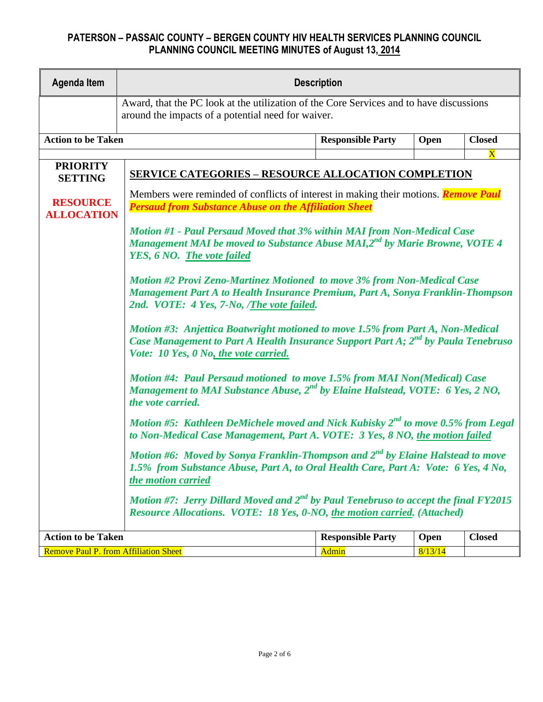| <b>Agenda Item</b>                           | <b>Description</b>                                                                                                                                                                                                                                                                                                             |                          |         |                       |  |  |  |  |  |
|----------------------------------------------|--------------------------------------------------------------------------------------------------------------------------------------------------------------------------------------------------------------------------------------------------------------------------------------------------------------------------------|--------------------------|---------|-----------------------|--|--|--|--|--|
|                                              | Award, that the PC look at the utilization of the Core Services and to have discussions<br>around the impacts of a potential need for waiver.                                                                                                                                                                                  |                          |         |                       |  |  |  |  |  |
| <b>Action to be Taken</b>                    | Open                                                                                                                                                                                                                                                                                                                           | <b>Closed</b>            |         |                       |  |  |  |  |  |
|                                              |                                                                                                                                                                                                                                                                                                                                |                          |         | $\overline{\text{X}}$ |  |  |  |  |  |
| <b>PRIORITY</b><br><b>SETTING</b>            | <b>SERVICE CATEGORIES - RESOURCE ALLOCATION COMPLETION</b>                                                                                                                                                                                                                                                                     |                          |         |                       |  |  |  |  |  |
| <b>RESOURCE</b><br><b>ALLOCATION</b>         | Members were reminded of conflicts of interest in making their motions. <b>Remove Paul</b><br><b>Persaud from Substance Abuse on the Affiliation Sheet</b><br>Motion #1 - Paul Persaud Moved that 3% within MAI from Non-Medical Case                                                                                          |                          |         |                       |  |  |  |  |  |
|                                              | Management MAI be moved to Substance Abuse MAI,2 <sup>nd</sup> by Marie Browne, VOTE 4<br>YES, 6 NO. The vote failed<br>Motion #2 Provi Zeno-Martinez Motioned to move 3% from Non-Medical Case<br>Management Part A to Health Insurance Premium, Part A, Sonya Franklin-Thompson<br>2nd. VOTE: 4 Yes, 7-No, /The vote failed. |                          |         |                       |  |  |  |  |  |
|                                              | Motion #3: Anjettica Boatwright motioned to move 1.5% from Part A, Non-Medical<br>Case Management to Part A Health Insurance Support Part A; 2 <sup>nd</sup> by Paula Tenebruso<br>Vote: 10 Yes, 0 No, the vote carried.                                                                                                       |                          |         |                       |  |  |  |  |  |
|                                              | Motion #4: Paul Persaud motioned to move 1.5% from MAI Non(Medical) Case<br>Management to MAI Substance Abuse, 2 <sup>nd</sup> by Elaine Halstead, VOTE: 6 Yes, 2 NO,<br>the vote carried.                                                                                                                                     |                          |         |                       |  |  |  |  |  |
|                                              | Motion #5: Kathleen DeMichele moved and Nick Kubisky $2^{nd}$ to move 0.5% from Legal<br>to Non-Medical Case Management, Part A. VOTE: 3 Yes, 8 NO, the motion failed                                                                                                                                                          |                          |         |                       |  |  |  |  |  |
|                                              | Motion #6: Moved by Sonya Franklin-Thompson and $2^{nd}$ by Elaine Halstead to move<br>1.5% from Substance Abuse, Part A, to Oral Health Care, Part A: Vote: 6 Yes, 4 No,<br>the motion carried                                                                                                                                |                          |         |                       |  |  |  |  |  |
|                                              | Motion #7: Jerry Dillard Moved and $2^{nd}$ by Paul Tenebruso to accept the final FY2015<br>Resource Allocations. VOTE: 18 Yes, 0-NO, the motion carried. (Attached)                                                                                                                                                           |                          |         |                       |  |  |  |  |  |
| <b>Action to be Taken</b>                    |                                                                                                                                                                                                                                                                                                                                | <b>Responsible Party</b> | Open    | <b>Closed</b>         |  |  |  |  |  |
| <b>Remove Paul P. from Affiliation Sheet</b> |                                                                                                                                                                                                                                                                                                                                | Admin                    | 8/13/14 |                       |  |  |  |  |  |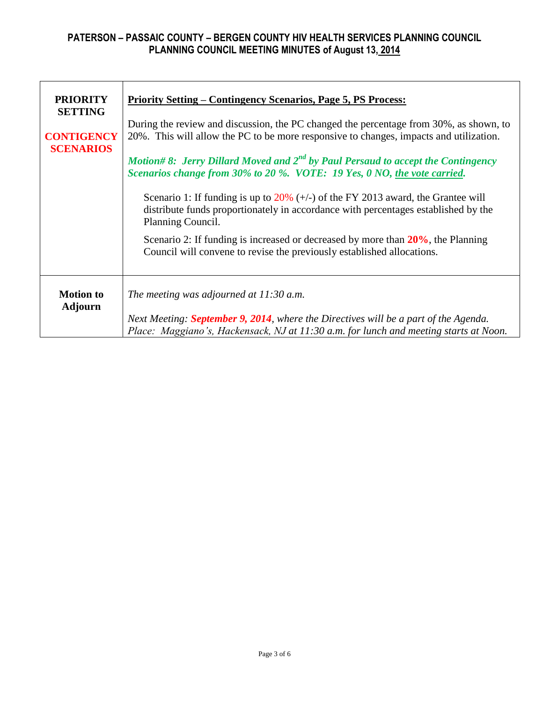| <b>PRIORITY</b><br><b>SETTING</b><br><b>CONTIGENCY</b><br><b>SCENARIOS</b> | <u> Priority Setting – Contingency Scenarios, Page 5, PS Process:</u><br>During the review and discussion, the PC changed the percentage from 30%, as shown, to<br>20%. This will allow the PC to be more responsive to changes, impacts and utilization.<br>Motion#8: Jerry Dillard Moved and $2^{nd}$ by Paul Persaud to accept the Contingency<br>Scenarios change from 30% to 20 %. VOTE: 19 Yes, 0 NO, the vote carried.<br>Scenario 1: If funding is up to $20\%$ (+/-) of the FY 2013 award, the Grantee will |  |  |  |  |  |
|----------------------------------------------------------------------------|----------------------------------------------------------------------------------------------------------------------------------------------------------------------------------------------------------------------------------------------------------------------------------------------------------------------------------------------------------------------------------------------------------------------------------------------------------------------------------------------------------------------|--|--|--|--|--|
|                                                                            | distribute funds proportionately in accordance with percentages established by the<br>Planning Council.<br>Scenario 2: If funding is increased or decreased by more than $20\%$ , the Planning<br>Council will convene to revise the previously established allocations.                                                                                                                                                                                                                                             |  |  |  |  |  |
|                                                                            |                                                                                                                                                                                                                                                                                                                                                                                                                                                                                                                      |  |  |  |  |  |
| <b>Motion to</b><br><b>Adjourn</b>                                         | The meeting was adjourned at $11:30$ a.m.                                                                                                                                                                                                                                                                                                                                                                                                                                                                            |  |  |  |  |  |
|                                                                            | Next Meeting: <b>September 9, 2014</b> , where the Directives will be a part of the Agenda.<br>Place: Maggiano's, Hackensack, NJ at 11:30 a.m. for lunch and meeting starts at Noon.                                                                                                                                                                                                                                                                                                                                 |  |  |  |  |  |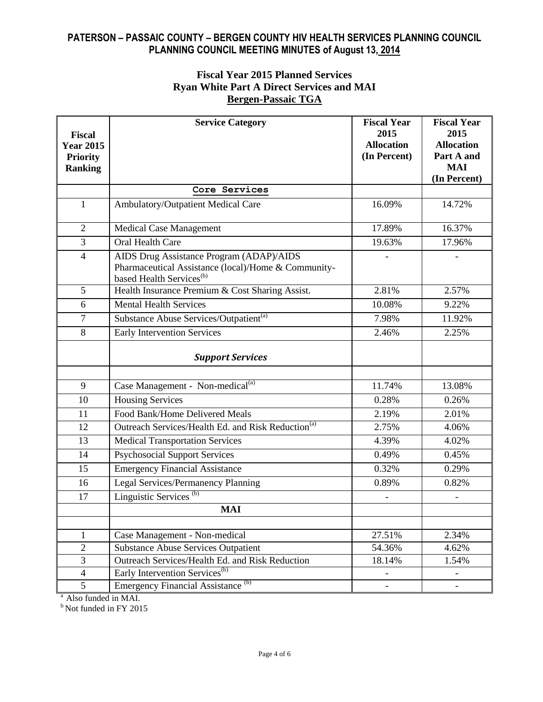## **Fiscal Year 2015 Planned Services Ryan White Part A Direct Services and MAI Bergen-Passaic TGA**

| <b>Fiscal</b><br><b>Year 2015</b><br><b>Priority</b><br><b>Ranking</b> | <b>Service Category</b>                                                                                                                 | <b>Fiscal Year</b><br>2015<br><b>Allocation</b><br>(In Percent) | <b>Fiscal Year</b><br>2015<br><b>Allocation</b><br>Part A and<br><b>MAI</b><br>(In Percent) |  |  |
|------------------------------------------------------------------------|-----------------------------------------------------------------------------------------------------------------------------------------|-----------------------------------------------------------------|---------------------------------------------------------------------------------------------|--|--|
|                                                                        | Core Services                                                                                                                           |                                                                 |                                                                                             |  |  |
| $\mathbf{1}$                                                           | Ambulatory/Outpatient Medical Care                                                                                                      | 16.09%                                                          | 14.72%                                                                                      |  |  |
| $\overline{2}$                                                         | <b>Medical Case Management</b>                                                                                                          | 17.89%                                                          | 16.37%                                                                                      |  |  |
| 3                                                                      | <b>Oral Health Care</b>                                                                                                                 | 19.63%                                                          | 17.96%                                                                                      |  |  |
| $\overline{4}$                                                         | AIDS Drug Assistance Program (ADAP)/AIDS<br>Pharmaceutical Assistance (local)/Home & Community-<br>based Health Services <sup>(b)</sup> |                                                                 |                                                                                             |  |  |
| 5                                                                      | Health Insurance Premium & Cost Sharing Assist.                                                                                         | 2.81%                                                           | 2.57%                                                                                       |  |  |
| 6                                                                      | <b>Mental Health Services</b>                                                                                                           | 10.08%                                                          | 9.22%                                                                                       |  |  |
| 7                                                                      | Substance Abuse Services/Outpatient <sup>(a)</sup>                                                                                      | 7.98%                                                           | 11.92%                                                                                      |  |  |
| 8                                                                      | <b>Early Intervention Services</b>                                                                                                      | 2.46%                                                           | 2.25%                                                                                       |  |  |
|                                                                        | <b>Support Services</b>                                                                                                                 |                                                                 |                                                                                             |  |  |
| 9                                                                      | Case Management - Non-medical <sup>(a)</sup>                                                                                            | 11.74%                                                          | 13.08%                                                                                      |  |  |
| 10                                                                     | <b>Housing Services</b>                                                                                                                 | 0.28%                                                           | 0.26%                                                                                       |  |  |
| 11                                                                     | Food Bank/Home Delivered Meals                                                                                                          | 2.19%                                                           | 2.01%                                                                                       |  |  |
| 12                                                                     | Outreach Services/Health Ed. and Risk Reduction <sup>(a)</sup>                                                                          | 2.75%                                                           | 4.06%                                                                                       |  |  |
| 13                                                                     | <b>Medical Transportation Services</b>                                                                                                  | 4.39%                                                           | 4.02%                                                                                       |  |  |
| 14                                                                     | <b>Psychosocial Support Services</b>                                                                                                    | 0.49%                                                           | 0.45%                                                                                       |  |  |
| 15                                                                     | <b>Emergency Financial Assistance</b>                                                                                                   | 0.32%                                                           | 0.29%                                                                                       |  |  |
| 16                                                                     | Legal Services/Permanency Planning                                                                                                      | 0.89%                                                           | 0.82%                                                                                       |  |  |
| 17                                                                     | Linguistic Services <sup>(b)</sup>                                                                                                      |                                                                 |                                                                                             |  |  |
|                                                                        | <b>MAI</b>                                                                                                                              |                                                                 |                                                                                             |  |  |
|                                                                        |                                                                                                                                         |                                                                 |                                                                                             |  |  |
| $\mathbf{1}$                                                           | Case Management - Non-medical                                                                                                           | 27.51%                                                          | 2.34%                                                                                       |  |  |
| $\mathbf{2}$                                                           | <b>Substance Abuse Services Outpatient</b>                                                                                              | 54.36%                                                          | 4.62%                                                                                       |  |  |
| 3                                                                      | Outreach Services/Health Ed. and Risk Reduction                                                                                         | 18.14%                                                          | 1.54%                                                                                       |  |  |
| $\overline{4}$                                                         | Early Intervention Services <sup>(b)</sup>                                                                                              |                                                                 |                                                                                             |  |  |
| 5                                                                      | Emergency Financial Assistance <sup>(b)</sup>                                                                                           |                                                                 |                                                                                             |  |  |

<sup>a</sup> Also funded in MAI.

 $b$ Not funded in FY 2015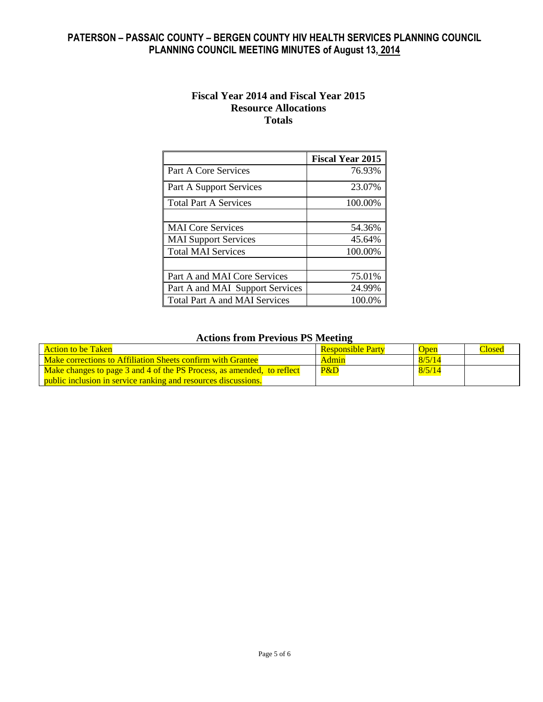#### **Fiscal Year 2014 and Fiscal Year 2015 Resource Allocations Totals**

|                                      | <b>Fiscal Year 2015</b> |
|--------------------------------------|-------------------------|
| Part A Core Services                 | 76.93%                  |
| Part A Support Services              | 23.07%                  |
| <b>Total Part A Services</b>         | 100.00%                 |
|                                      |                         |
| <b>MAI</b> Core Services             | 54.36%                  |
| <b>MAI</b> Support Services          | 45.64%                  |
| <b>Total MAI Services</b>            | 100.00%                 |
|                                      |                         |
| Part A and MAI Core Services         | 75.01%                  |
| Part A and MAI Support Services      | 24.99%                  |
| <b>Total Part A and MAI Services</b> | 100.0%                  |

## **Actions from Previous PS Meeting**

| <b>Action to be Taken</b>                                              | <b>Responsible Party</b> | <b>Open</b> | <b>llosed</b> |
|------------------------------------------------------------------------|--------------------------|-------------|---------------|
| Make corrections to Affiliation Sheets confirm with Grantee            | Admin                    | 8/5/14      |               |
| Make changes to page 3 and 4 of the PS Process, as amended, to reflect | P&D                      | 8/5/14      |               |
| public inclusion in service ranking and resources discussions.         |                          |             |               |